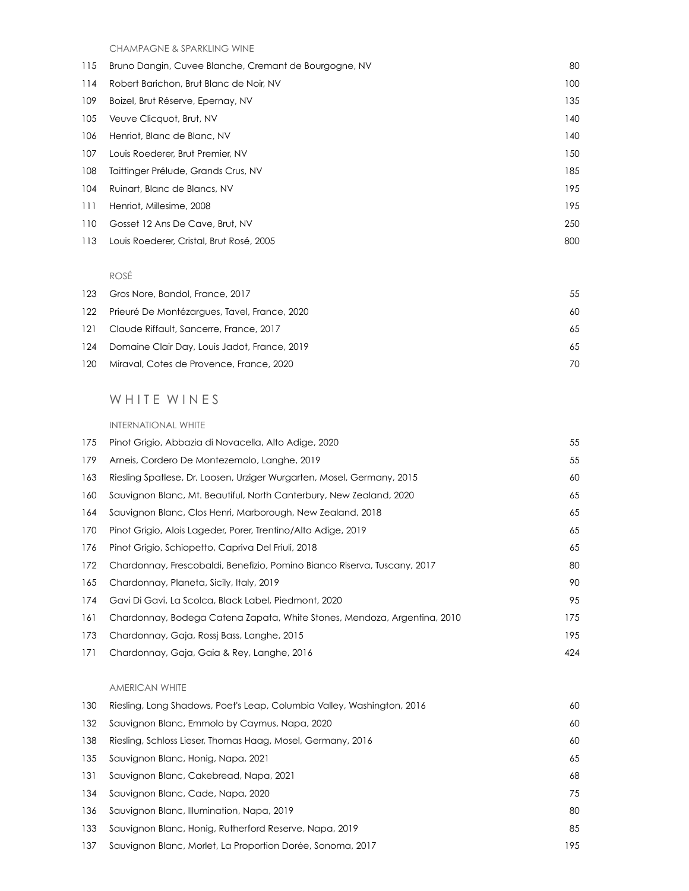CHAMPAGNE & SPARKLING WINE

| 115 | Bruno Dangin, Cuvee Blanche, Cremant de Bourgogne, NV | 80  |
|-----|-------------------------------------------------------|-----|
| 114 | Robert Barichon, Brut Blanc de Noir, NV               | 100 |
| 109 | Boizel, Brut Réserve, Epernay, NV                     | 135 |
| 105 | Veuve Clicquot, Brut, NV                              | 140 |
| 106 | Henriot, Blanc de Blanc, NV                           | 140 |
| 107 | Louis Roederer, Brut Premier, NV                      | 150 |
| 108 | Taittinger Prélude, Grands Crus, NV                   | 185 |
| 104 | Ruinart, Blanc de Blancs, NV                          | 195 |
| 111 | Henriot, Millesime, 2008                              | 195 |
| 110 | Gosset 12 Ans De Cave, Brut, NV                       | 250 |
| 113 | Louis Roederer, Cristal, Brut Rosé, 2005              | 800 |

#### ROSÉ

|     | 123 Gros Nore, Bandol, France, 2017              | 55 |
|-----|--------------------------------------------------|----|
|     | 122 Prieuré De Montézarques, Tavel, France, 2020 | 60 |
| 121 | Claude Riffault, Sancerre, France, 2017          | 65 |
|     | 124 Domaine Clair Day, Louis Jadot, France, 2019 | 65 |
|     | 120 Miraval, Cotes de Provence, France, 2020     | 70 |

# WHITE WINES

#### INTERNATIONAL WHITE

| 175 | Pinot Grigio, Abbazia di Novacella, Alto Adige, 2020                     | 55  |
|-----|--------------------------------------------------------------------------|-----|
| 179 | Arneis, Cordero De Montezemolo, Langhe, 2019                             | 55  |
| 163 | Riesling Spatlese, Dr. Loosen, Urziger Wurgarten, Mosel, Germany, 2015   | 60  |
| 160 | Sauvignon Blanc, Mt. Beautiful, North Canterbury, New Zealand, 2020      | 65  |
| 164 | Sauvignon Blanc, Clos Henri, Marborough, New Zealand, 2018               | 65  |
| 170 | Pinot Grigio, Alois Lageder, Porer, Trentino/Alto Adige, 2019            | 65  |
| 176 | Pinot Grigio, Schiopetto, Capriva Del Friuli, 2018                       | 65  |
| 172 | Chardonnay, Frescobaldi, Benefizio, Pomino Bianco Riserva, Tuscany, 2017 | 80  |
| 165 | Chardonnay, Planeta, Sicily, Italy, 2019                                 | 90  |
| 174 | Gavi Di Gavi, La Scolca, Black Label, Piedmont, 2020                     | 95  |
| 161 | Chardonnay, Bodega Catena Zapata, White Stones, Mendoza, Argentina, 2010 | 175 |
| 173 | Chardonnay, Gaja, Rossj Bass, Langhe, 2015                               | 195 |
| 171 | Chardonnay, Gaja, Gaja & Rey, Langhe, 2016                               | 424 |

## AMERICAN WHITE

| 130 | Riesling, Long Shadows, Poet's Leap, Columbia Valley, Washington, 2016 | 60  |
|-----|------------------------------------------------------------------------|-----|
| 132 | Sauvignon Blanc, Emmolo by Caymus, Napa, 2020                          | 60  |
| 138 | Riesling, Schloss Lieser, Thomas Haag, Mosel, Germany, 2016            | 60  |
| 135 | Sauvignon Blanc, Honig, Napa, 2021                                     | 65  |
| 131 | Sauvignon Blanc, Cakebread, Napa, 2021                                 | 68  |
| 134 | Sauvignon Blanc, Cade, Napa, 2020                                      | 75  |
| 136 | Sauvignon Blanc, Illumination, Napa, 2019                              | 80  |
| 133 | Sauvignon Blanc, Honig, Rutherford Reserve, Napa, 2019                 | 85  |
| 137 | Sauvignon Blanc, Morlet, La Proportion Dorée, Sonoma, 2017             | 195 |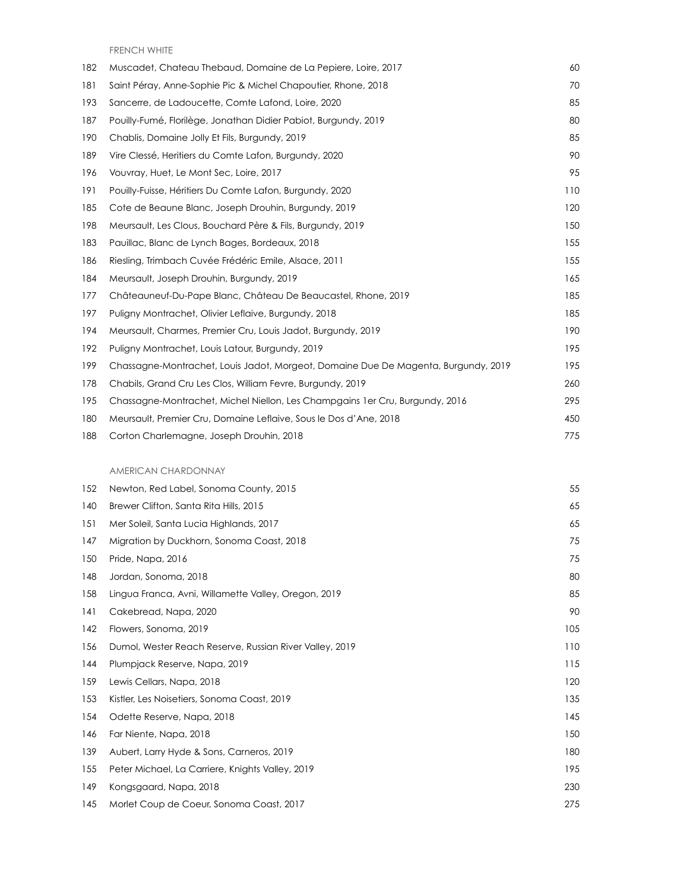FRENCH WHITE

| 182 | Muscadet, Chateau Thebaud, Domaine de La Pepiere, Loire, 2017                      | 60  |
|-----|------------------------------------------------------------------------------------|-----|
| 181 | Saint Péray, Anne-Sophie Pic & Michel Chapoutier, Rhone, 2018                      | 70  |
| 193 | Sancerre, de Ladoucette, Comte Lafond, Loire, 2020                                 | 85  |
| 187 | Pouilly-Fumé, Florilège, Jonathan Didier Pabiot, Burgundy, 2019                    | 80  |
| 190 | Chablis, Domaine Jolly Et Fils, Burgundy, 2019                                     | 85  |
| 189 | Vire Clessé, Heritiers du Comte Lafon, Burgundy, 2020                              | 90  |
| 196 | Vouvray, Huet, Le Mont Sec, Loire, 2017                                            | 95  |
| 191 | Pouilly-Fuisse, Héritiers Du Comte Lafon, Burgundy, 2020                           | 110 |
| 185 | Cote de Beaune Blanc, Joseph Drouhin, Burgundy, 2019                               | 120 |
| 198 | Meursault, Les Clous, Bouchard Père & Fils, Burgundy, 2019                         | 150 |
| 183 | Pauillac, Blanc de Lynch Bages, Bordeaux, 2018                                     | 155 |
| 186 | Riesling, Trimbach Cuvée Frédéric Emile, Alsace, 2011                              | 155 |
| 184 | Meursault, Joseph Drouhin, Burgundy, 2019                                          | 165 |
| 177 | Châteauneuf-Du-Pape Blanc, Château De Beaucastel, Rhone, 2019                      | 185 |
| 197 | Puligny Montrachet, Olivier Leflaive, Burgundy, 2018                               | 185 |
| 194 | Meursault, Charmes, Premier Cru, Louis Jadot, Burgundy, 2019                       | 190 |
| 192 | Puliany Montrachet, Louis Latour, Burgundy, 2019                                   | 195 |
| 199 | Chassagne-Montrachet, Louis Jadot, Morgeot, Domaine Due De Magenta, Burgundy, 2019 | 195 |
| 178 | Chabils, Grand Cru Les Clos, William Fevre, Burgundy, 2019                         | 260 |
| 195 | Chassagne-Montrachet, Michel Niellon, Les Champgains 1 er Cru, Burgundy, 2016      | 295 |
| 180 | Meursault, Premier Cru, Domaine Leflaive, Sous le Dos d'Ane, 2018                  | 450 |
| 188 | Corton Charlemagne, Joseph Drouhin, 2018                                           | 775 |

## AMERICAN CHARDONNAY

| 152 | Newton, Red Label, Sonoma County, 2015                  | 55  |
|-----|---------------------------------------------------------|-----|
| 140 | Brewer Clifton, Santa Rita Hills, 2015                  | 65  |
| 151 | Mer Soleil, Santa Lucia Highlands, 2017                 | 65  |
| 147 | Migration by Duckhorn, Sonoma Coast, 2018               | 75  |
| 150 | Pride, Napa, 2016                                       | 75  |
| 148 | Jordan, Sonoma, 2018                                    | 80  |
| 158 | Lingua Franca, Avni, Willamette Valley, Oregon, 2019    | 85  |
| 141 | Cakebread, Napa, 2020                                   | 90  |
| 142 | Flowers, Sonoma, 2019                                   | 105 |
| 156 | Dumol, Wester Reach Reserve, Russian River Valley, 2019 | 110 |
| 144 | Plumpjack Reserve, Napa, 2019                           | 115 |
| 159 | Lewis Cellars, Napa, 2018                               | 120 |
| 153 | Kistler, Les Noisetiers, Sonoma Coast, 2019             | 135 |
| 154 | Odette Reserve, Napa, 2018                              | 145 |
| 146 | Far Niente, Napa, 2018                                  | 150 |
| 139 | Aubert, Larry Hyde & Sons, Carneros, 2019               | 180 |
| 155 | Peter Michael, La Carriere, Knights Valley, 2019        | 195 |
| 149 | Kongsgaard, Napa, 2018                                  | 230 |
| 145 | Morlet Coup de Coeur, Sonoma Coast, 2017                | 275 |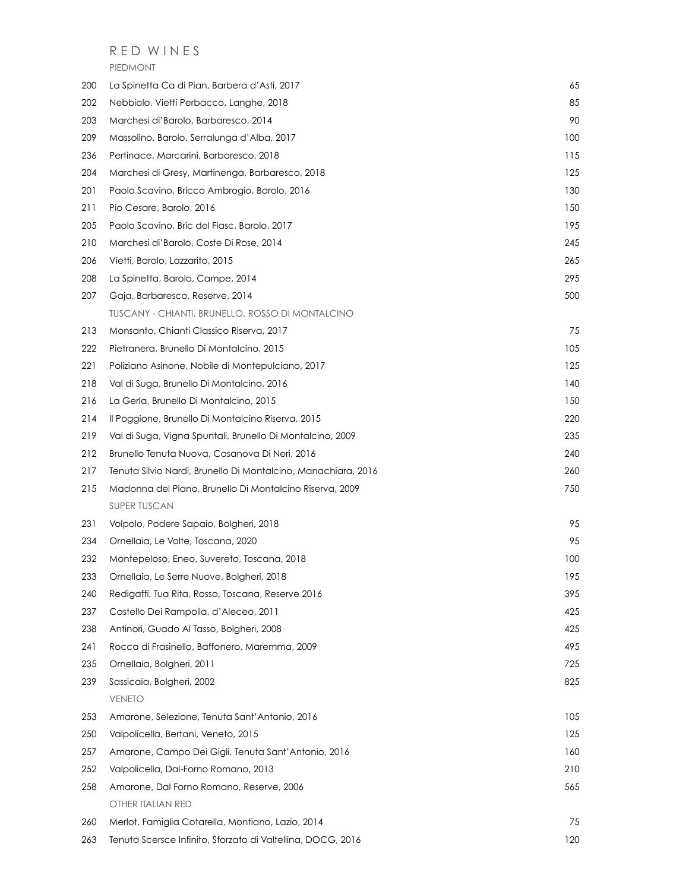## R E D W I N E S

PIEDMONT

| 200 | La Spinetta Ca di Pian, Barbera d'Asti, 2017                  | 65  |
|-----|---------------------------------------------------------------|-----|
| 202 | Nebbiolo, Vietti Perbacco, Langhe, 2018                       | 85  |
| 203 | Marchesi di'Barolo, Barbaresco, 2014                          | 90  |
| 209 | Massolino, Barolo, Serralunga d'Alba, 2017                    | 100 |
| 236 | Pertinace, Marcarini, Barbaresco, 2018                        | 115 |
| 204 | Marchesi di Gresy, Martinenga, Barbaresco, 2018               | 125 |
| 201 | Paolo Scavino, Bricco Ambrogio, Barolo, 2016                  | 130 |
| 211 | Pio Cesare, Barolo, 2016                                      | 150 |
| 205 | Paolo Scavino, Bric del Fiasc, Barolo, 2017                   | 195 |
| 210 | Marchesi di'Barolo, Coste Di Rose, 2014                       | 245 |
| 206 | Vietti, Barolo, Lazzarito, 2015                               | 265 |
| 208 | La Spinetta, Barolo, Campe, 2014                              | 295 |
| 207 | Gaja, Barbaresco, Reserve, 2014                               | 500 |
|     | TUSCANY - CHIANTI, BRUNELLO, ROSSO DI MONTALCINO              |     |
| 213 | Monsanto, Chianti Classico Riserva, 2017                      | 75  |
| 222 | Pietranera, Brunello Di Montalcino, 2015                      | 105 |
| 221 | Poliziano Asinone, Nobile di Montepulciano, 2017              | 125 |
| 218 | Val di Suga, Brunello Di Montalcino, 2016                     | 140 |
| 216 | La Gerla, Brunello Di Montalcino, 2015                        | 150 |
| 214 | Il Poggione, Brunello Di Montalcino Riserva, 2015             | 220 |
| 219 | Val di Suga, Vigna Spuntali, Brunello Di Montalcino, 2009     | 235 |
| 212 | Brunello Tenuta Nuova, Casanova Di Neri, 2016                 | 240 |
| 217 | Tenuta Silvio Nardi, Brunello Di Montalcino, Manachiara, 2016 | 260 |
| 215 | Madonna del Piano, Brunello Di Montalcino Riserva, 2009       | 750 |
|     | SUPER TUSCAN                                                  |     |
| 231 | Volpolo, Podere Sapaio, Bolgheri, 2018                        | 95  |
| 234 | Ornellaia, Le Volte, Toscana, 2020                            | 95  |
| 232 | Montepeloso, Eneo, Suvereto, Toscana, 2018                    | 100 |
| 233 | Ornellaia, Le Serre Nuove, Bolgheri, 2018                     | 195 |
| 240 | Redigaffi, Tua Rita, Rosso, Toscana, Reserve 2016             | 395 |
| 237 | Castello Dei Rampolla, d'Aleceo, 2011                         | 425 |
| 238 | Antinori, Guado Al Tasso, Bolgheri, 2008                      | 425 |
| 241 | Rocca di Frasinello, Baffonero, Maremma, 2009                 | 495 |
| 235 | Ornellaia, Bolgheri, 2011                                     | 725 |
| 239 | Sassicaia, Bolgheri, 2002                                     | 825 |
|     | VENETO                                                        |     |
| 253 | Amarone, Selezione, Tenuta Sant'Antonio, 2016                 | 105 |
| 250 | Valpolicella, Bertani, Veneto, 2015                           | 125 |
| 257 | Amarone, Campo Dei Gigli, Tenuta Sant'Antonio, 2016           | 160 |
| 252 | Valpolicella, Dal-Forno Romano, 2013                          | 210 |
| 258 | Amarone, Dal Forno Romano, Reserve, 2006                      | 565 |
|     | OTHER ITALIAN RED                                             |     |
| 260 | Merlot, Famiglia Cotarella, Montiano, Lazio, 2014             | 75  |
| 263 | Tenuta Scersce Infinito, Sforzato di Valtellina, DOCG, 2016   | 120 |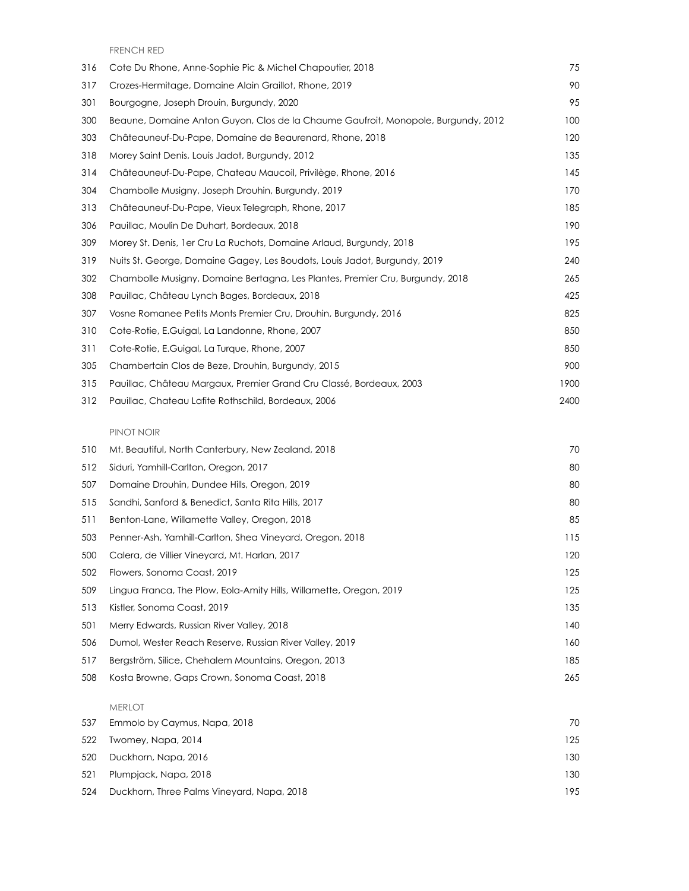FRENCH RED

| 316 | Cote Du Rhone, Anne-Sophie Pic & Michel Chapoutier, 2018                          | 75   |
|-----|-----------------------------------------------------------------------------------|------|
| 317 | Crozes-Hermitage, Domaine Alain Graillot, Rhone, 2019                             | 90   |
| 301 | Bourgogne, Joseph Drouin, Burgundy, 2020                                          | 95   |
| 300 | Beaune, Domaine Anton Guyon, Clos de la Chaume Gaufroit, Monopole, Burgundy, 2012 | 100  |
| 303 | Châteauneuf-Du-Pape, Domaine de Beaurenard, Rhone, 2018                           | 120  |
| 318 | Morey Saint Denis, Louis Jadot, Burgundy, 2012                                    | 135  |
| 314 | Châteauneuf-Du-Pape, Chateau Maucoil, Privilège, Rhone, 2016                      | 145  |
| 304 | Chambolle Musiany, Joseph Drouhin, Burgundy, 2019                                 | 170  |
| 313 | Châteauneuf-Du-Pape, Vieux Telegraph, Rhone, 2017                                 | 185  |
| 306 | Pauillac, Moulin De Duhart, Bordeaux, 2018                                        | 190  |
| 309 | Morey St. Denis, 1 er Cru La Ruchots, Domaine Arlaud, Burgundy, 2018              | 195  |
| 319 | Nuits St. George, Domaine Gagey, Les Boudots, Louis Jadot, Burgundy, 2019         | 240  |
| 302 | Chambolle Musigny, Domaine Bertagna, Les Plantes, Premier Cru, Burgundy, 2018     | 265  |
| 308 | Pauillac, Château Lynch Bages, Bordeaux, 2018                                     | 425  |
| 307 | Vosne Romanee Petits Monts Premier Cru, Drouhin, Burgundy, 2016                   | 825  |
| 310 | Cote-Rotie, E.Guigal, La Landonne, Rhone, 2007                                    | 850  |
| 311 | Cote-Rotie, E.Guigal, La Turque, Rhone, 2007                                      | 850  |
| 305 | Chambertain Clos de Beze, Drouhin, Burgundy, 2015                                 | 900  |
| 315 | Pauillac, Château Margaux, Premier Grand Cru Classé, Bordeaux, 2003               | 1900 |
| 312 | Pauillac, Chateau Lafite Rothschild, Bordeaux, 2006                               | 2400 |

#### PINOT NOIR

| 510 | Mt. Beautiful, North Canterbury, New Zealand, 2018                  | 70  |
|-----|---------------------------------------------------------------------|-----|
| 512 | Siduri, Yamhill-Carlton, Oregon, 2017                               | 80  |
| 507 | Domaine Drouhin, Dundee Hills, Oregon, 2019                         | 80  |
| 515 | Sandhi, Sanford & Benedict, Santa Rita Hills, 2017                  | 80  |
| 511 | Benton-Lane, Willamette Valley, Oregon, 2018                        | 85  |
| 503 | Penner-Ash, Yamhill-Carlton, Shea Vineyard, Oregon, 2018            | 115 |
| 500 | Calera, de Villier Vineyard, Mt. Harlan, 2017                       | 120 |
| 502 | Flowers, Sonoma Coast, 2019                                         | 125 |
| 509 | Lingua Franca, The Plow, Eola-Amity Hills, Willamette, Oregon, 2019 | 125 |
| 513 | Kistler, Sonoma Coast, 2019                                         | 135 |
| 501 | Merry Edwards, Russian River Valley, 2018                           | 140 |
| 506 | Dumol, Wester Reach Reserve, Russian River Valley, 2019             | 160 |
| 517 | Bergström, Silice, Chehalem Mountains, Oregon, 2013                 | 185 |
| 508 | Kosta Browne, Gaps Crown, Sonoma Coast, 2018                        | 265 |

#### MERLOT

| 70                                                                                                                                                    |
|-------------------------------------------------------------------------------------------------------------------------------------------------------|
| 125                                                                                                                                                   |
| 130                                                                                                                                                   |
| 130                                                                                                                                                   |
| 195                                                                                                                                                   |
| Emmolo by Caymus, Napa, 2018<br>Twomey, Napa, 2014<br>Duckhorn, Napa, 2016<br>521 Plumpjack, Napa, 2018<br>Duckhorn, Three Palms Vineyard, Napa, 2018 |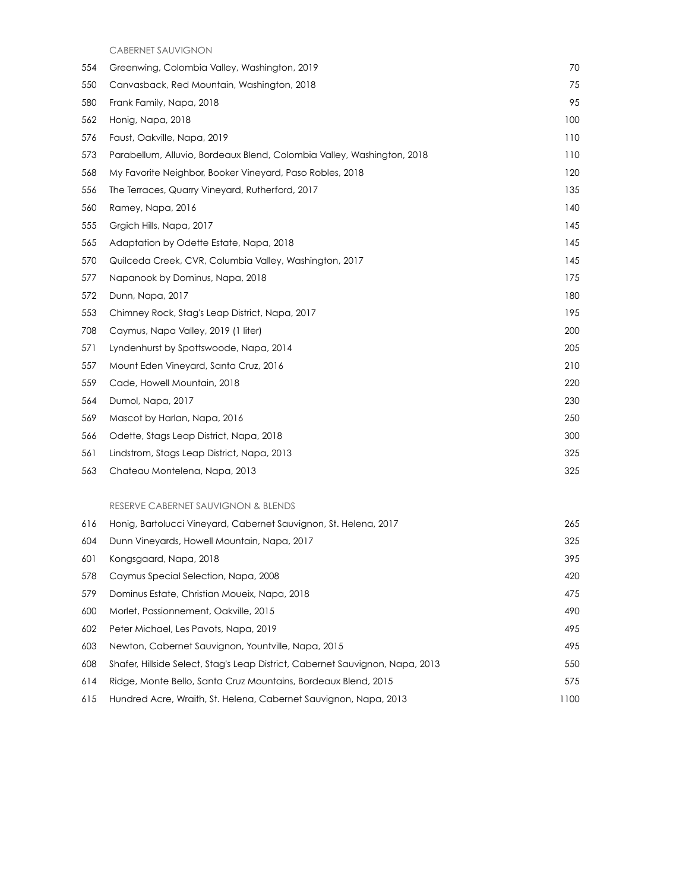CABERNET SAUVIGNON

| 554 | Greenwing, Colombia Valley, Washington, 2019                           | 70  |
|-----|------------------------------------------------------------------------|-----|
| 550 | Canvasback, Red Mountain, Washington, 2018                             | 75  |
| 580 | Frank Family, Napa, 2018                                               | 95  |
| 562 | Honig, Napa, 2018                                                      | 100 |
| 576 | Faust, Oakville, Napa, 2019                                            | 110 |
| 573 | Parabellum, Alluvio, Bordeaux Blend, Colombia Valley, Washington, 2018 | 110 |
| 568 | My Favorite Neighbor, Booker Vineyard, Paso Robles, 2018               | 120 |
| 556 | The Terraces, Quarry Vineyard, Rutherford, 2017                        | 135 |
| 560 | Ramey, Napa, 2016                                                      | 140 |
| 555 | Grgich Hills, Napa, 2017                                               | 145 |
| 565 | Adaptation by Odette Estate, Napa, 2018                                | 145 |
| 570 | Quilceda Creek, CVR, Columbia Valley, Washington, 2017                 | 145 |
| 577 | Napanook by Dominus, Napa, 2018                                        | 175 |
| 572 | Dunn, Napa, 2017                                                       | 180 |
| 553 | Chimney Rock, Stag's Leap District, Napa, 2017                         | 195 |
| 708 | Caymus, Napa Valley, 2019 (1 liter)                                    | 200 |
| 571 | Lyndenhurst by Spottswoode, Napa, 2014                                 | 205 |
| 557 | Mount Eden Vineyard, Santa Cruz, 2016                                  | 210 |
| 559 | Cade, Howell Mountain, 2018                                            | 220 |
| 564 | Dumol, Napa, 2017                                                      | 230 |
| 569 | Mascot by Harlan, Napa, 2016                                           | 250 |
| 566 | Odette, Stags Leap District, Napa, 2018                                | 300 |
| 561 | Lindstrom, Stags Leap District, Napa, 2013                             | 325 |
| 563 | Chateau Montelena, Napa, 2013                                          | 325 |
|     |                                                                        |     |

#### RESERVE CABERNET SAUVIGNON & BLENDS

| 616 | Honig, Bartolucci Vineyard, Cabernet Sauvignon, St. Helena, 2017              | 265  |
|-----|-------------------------------------------------------------------------------|------|
| 604 | Dunn Vineyards, Howell Mountain, Napa, 2017                                   | 325  |
| 601 | Kongsgaard, Napa, 2018                                                        | 395  |
| 578 | Caymus Special Selection, Napa, 2008                                          | 420  |
| 579 | Dominus Estate, Christian Moueix, Napa, 2018                                  | 475  |
| 600 | Morlet, Passionnement, Oakville, 2015                                         | 490  |
| 602 | Peter Michael, Les Pavots, Napa, 2019                                         | 495  |
| 603 | Newton, Cabernet Sauvignon, Yountville, Napa, 2015                            | 495  |
| 608 | Shafer, Hillside Select, Stag's Leap District, Cabernet Sauvignon, Napa, 2013 | 550  |
| 614 | Ridge, Monte Bello, Santa Cruz Mountains, Bordeaux Blend, 2015                | 575  |
| 615 | Hundred Acre, Wraith, St. Helena, Cabernet Sauvignon, Napa, 2013              | 1100 |